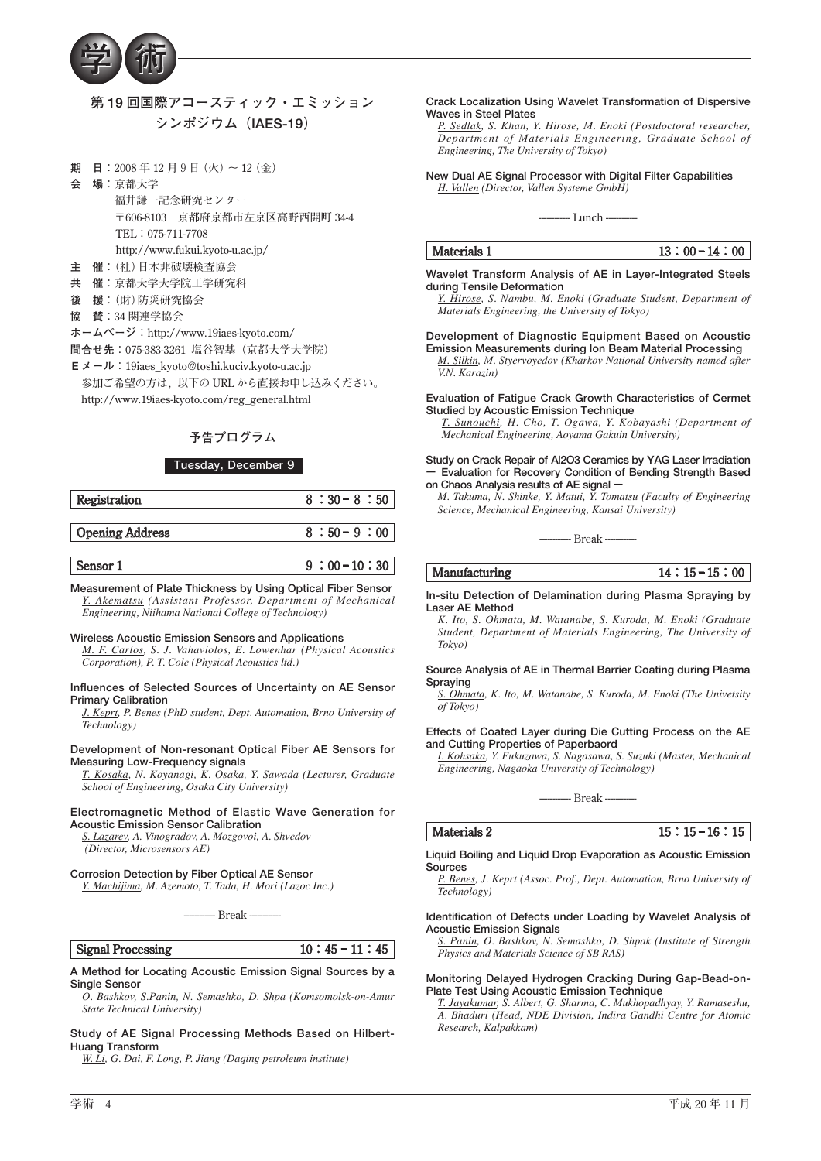

# **第 19 回国際アコースティック・エミッション シンポジウム(IAES-19)**

- **期 日:2008 年 12 月9日(火) 〜 12(金)**
- **会 場:京都大学**

 **福井謙一記念研究センター 〒606-8103 京都府京都市左京区高野西開町 34-4 TEL:075-711-7708 http://www.fukui.kyoto-u.ac.jp/**

- **主 催:(社)日本非破壊検査協会**
- **共 催:京都大学大学院工学研究科**
- **後 援:(財)防災研究協会**
- **協 賛:34 関連学協会**
- **ホームページ:http://www.19iaes-kyoto.com/**
- **問合せ先:075-383-3261 塩谷智基(京都大学大学院)**
- **E メール:19iaes\_kyoto@toshi.kuciv.kyoto-u.ac.jp**
- **参加ご希望の方は,以下の URL から直接お申し込みください。 http://www.19iaes-kyoto.com/reg\_general.html**

# **予告プログラム**

# Tuesday, December 9

| Registration    | $8:30-8:50$  |
|-----------------|--------------|
| Opening Address | $8:50-9:00$  |
| Sensor 1        | $9:00-10:30$ |

**Measurement of Plate Thickness by Using Optical Fiber Sensor**  *Y. Akematsu (Assistant Professor, Department of Mechanical Engineering, Niihama National College of Technology)*

#### **Wireless Acoustic Emission Sensors and Applications**

*M. F. Carlos, S. J. Vahaviolos, E. Lowenhar (Physical Acoustics Corporation), P. T. Cole (Physical Acoustics ltd.)*

#### **Influences of Selected Sources of Uncertainty on AE Sensor Primary Calibration**

*J. Keprt, P. Benes (PhD student, Dept. Automation, Brno University of Technology)*

#### **Development of Non-resonant Optical Fiber AE Sensors for Measuring Low-Frequency signals**

*T. Kosaka, N. Koyanagi, K. Osaka, Y. Sawada (Lecturer, Graduate School of Engineering, Osaka City University)*

# **Electromagnetic Method of Elastic Wave Generation for Acoustic Emission Sensor Calibration**

*S. Lazarev, A. Vinogradov, A. Mozgovoi, A. Shvedov (Director, Microsensors AE)*

# **Corrosion Detection by Fiber Optical AE Sensor**

*Y. Machijima, M. Azemoto, T. Tada, H. Mori (Lazoc Inc.)*

**------------ Break ------------**

**Signal Processing 10:45 − 11:45** 

**A Method for Locating Acoustic Emission Signal Sources by a Single Sensor**

*O. Bashkov, S.Panin, N. Semashko, D. Shpa (Komsomolsk-on-Amur State Technical University)*

**Study of AE Signal Processing Methods Based on Hilbert-Huang Transform**

*W. Li, G. Dai, F. Long, P. Jiang (Daqing petroleum institute)*

# **Crack Localization Using Wavelet Transformation of Dispersive Waves in Steel Plates**

*P. Sedlak, S. Khan, Y. Hirose, M. Enoki (Postdoctoral researcher, Department of Materials Engineering, Graduate School of Engineering, The University of Tokyo)*

**New Dual AE Signal Processor with Digital Filter Capabilities** *H. Vallen (Director, Vallen Systeme GmbH)*

--- Lunch ---

# **Materials 1 13:00−14:00**

**Wavelet Transform Analysis of AE in Layer-Integrated Steels during Tensile Deformation**

*Y. Hirose, S. Nambu, M. Enoki (Graduate Student, Department of Materials Engineering, the University of Tokyo)*

# **Development of Diagnostic Equipment Based on Acoustic**

**Emission Measurements during Ion Beam Material Processing** *M. Silkin, M. Styervoyedov (Kharkov National University named after V.N. Karazin)*

**Evaluation of Fatigue Crack Growth Characteristics of Cermet Studied by Acoustic Emission Technique**

*T. Sunouchi, H. Cho, T. Ogawa, Y. Kobayashi (Department of Mechanical Engineering, Aoyama Gakuin University)*

**Study on Crack Repair of Al2O3 Ceramics by YAG Laser Irradiation − Evaluation for Recovery Condition of Bending Strength Based on Chaos Analysis results of AE signal −**

*M. Takuma, N. Shinke, Y. Matui, Y. Tomatsu (Faculty of Engineering Science, Mechanical Engineering, Kansai University)*

----<br>----<br>Break -----

 **Manufacturing 14:15−15:00** 

**In-situ Detection of Delamination during Plasma Spraying by Laser AE Method**

*K. Ito, S. Ohmata, M. Watanabe, S. Kuroda, M. Enoki (Graduate Student, Department of Materials Engineering, The University of Tokyo)*

# **Source Analysis of AE in Thermal Barrier Coating during Plasma Spraying**

*S. Ohmata, K. Ito, M. Watanabe, S. Kuroda, M. Enoki (The Univetsity of Tokyo)*

# **Effects of Coated Layer during Die Cutting Process on the AE and Cutting Properties of Paperbaord**

*I. Kohsaka, Y. Fukuzawa, S. Nagasawa, S. Suzuki (Master, Mechanical Engineering, Nagaoka University of Technology)*

**------------ Break ------------**

# **Materials 2 15:15−16:15**

**Liquid Boiling and Liquid Drop Evaporation as Acoustic Emission Sources**

*P. Benes, J. Keprt (Assoc. Prof., Dept. Automation, Brno University of Technology)*

#### **Identification of Defects under Loading by Wavelet Analysis of Acoustic Emission Signals**

*S. Panin, O. Bashkov, N. Semashko, D. Shpak (Institute of Strength Physics and Materials Science of SB RAS)*

#### **Monitoring Delayed Hydrogen Cracking During Gap-Bead-on-Plate Test Using Acoustic Emission Technique**

*T. Jayakumar, S. Albert, G. Sharma, C. Mukhopadhyay, Y. Ramaseshu, A. Bhaduri (Head, NDE Division, Indira Gandhi Centre for Atomic Research, Kalpakkam)*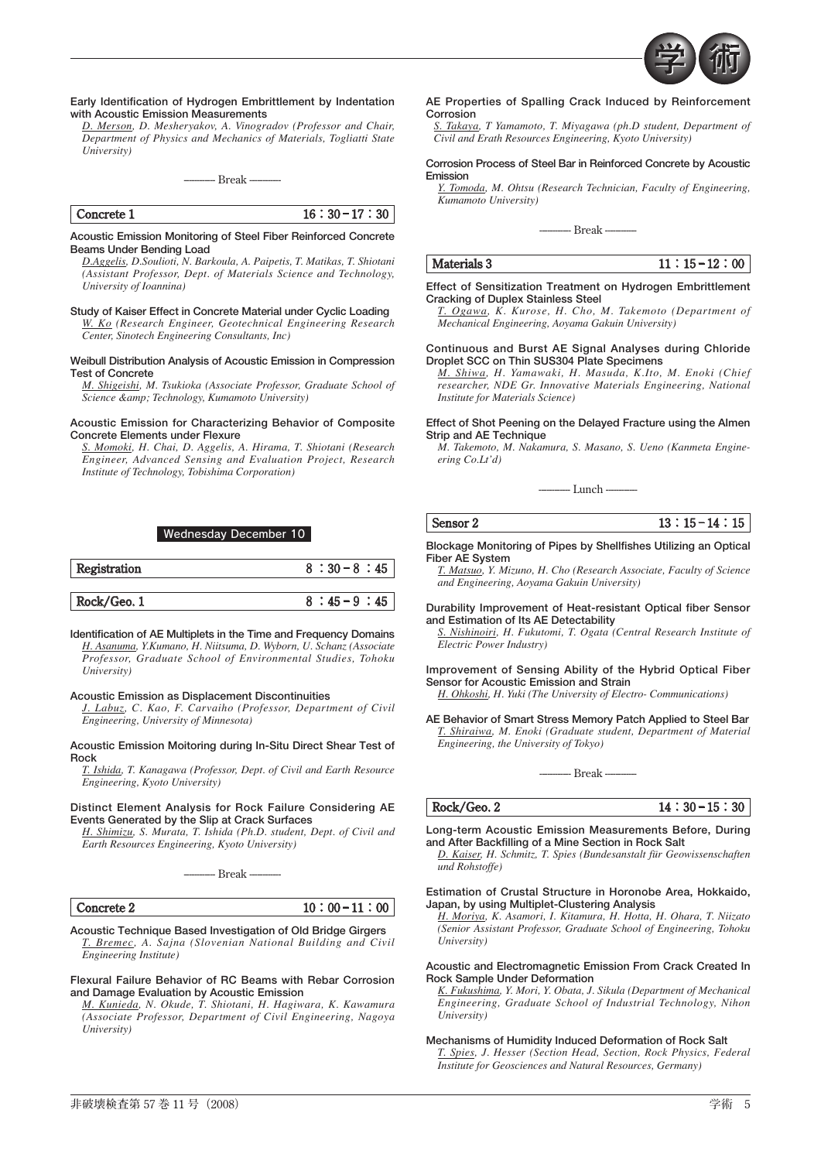

# **Early Identification of Hydrogen Embrittlement by Indentation with Acoustic Emission Measurements**

*D. Merson, D. Mesheryakov, A. Vinogradov (Professor and Chair, Department of Physics and Mechanics of Materials, Togliatti State University)*

**------------ Break ------------**



# **Acoustic Emission Monitoring of Steel Fiber Reinforced Concrete Beams Under Bending Load**

*D.Aggelis, D.Soulioti, N. Barkoula, A. Paipetis, T. Matikas, T. Shiotani (Assistant Professor, Dept. of Materials Science and Technology, University of Ioannina)*

**Study of Kaiser Effect in Concrete Material under Cyclic Loading** *W. Ko (Research Engineer, Geotechnical Engineering Research Center, Sinotech Engineering Consultants, Inc)*

**Weibull Distribution Analysis of Acoustic Emission in Compression Test of Concrete**

*M. Shigeishi, M. Tsukioka (Associate Professor, Graduate School of*   $\overline{Science}$  & amp; Technology, Kumamoto University)

## **Acoustic Emission for Characterizing Behavior of Composite Concrete Elements under Flexure**

*S. Momoki, H. Chai, D. Aggelis, A. Hirama, T. Shiotani (Research Engineer, Advanced Sensing and Evaluation Project, Research Institute of Technology, Tobishima Corporation)*

# Wednesday December 10



**Identification of AE Multiplets in the Time and Frequency Domains** *H. Asanuma, Y.Kumano, H. Niitsuma, D. Wyborn, U. Schanz (Associate Professor, Graduate School of Environmental Studies, Tohoku University)*

# **Acoustic Emission as Displacement Discontinuities**

*J. Labuz, C. Kao, F. Carvaiho (Professor, Department of Civil Engineering, University of Minnesota)*

#### **Acoustic Emission Moitoring during In-Situ Direct Shear Test of Rock**

*T. Ishida, T. Kanagawa (Professor, Dept. of Civil and Earth Resource Engineering, Kyoto University)*

# **Distinct Element Analysis for Rock Failure Considering AE Events Generated by the Slip at Crack Surfaces**

*H. Shimizu, S. Murata, T. Ishida (Ph.D. student, Dept. of Civil and Earth Resources Engineering, Kyoto University)*

**------------ Break ------------**

| ncrete 2<br>.A 17 | M.<br>10<br>1 M |
|-------------------|-----------------|
|                   |                 |

**Acoustic Technique Based Investigation of Old Bridge Girgers** *T. Bremec, A. Sajna (Slovenian National Building and Civil Engineering Institute)*

# **Flexural Failure Behavior of RC Beams with Rebar Corrosion and Damage Evaluation by Acoustic Emission**

*M. Kunieda, N. Okude, T. Shiotani, H. Hagiwara, K. Kawamura (Associate Professor, Department of Civil Engineering, Nagoya University)*

#### **AE Properties of Spalling Crack Induced by Reinforcement Corrosion**

*S. Takaya, T Yamamoto, T. Miyagawa (ph.D student, Department of Civil and Erath Resources Engineering, Kyoto University)*

#### **Corrosion Process of Steel Bar in Reinforced Concrete by Acoustic Emission**

*Y. Tomoda, M. Ohtsu (Research Technician, Faculty of Engineering, Kumamoto University)*

**------------ Break ------------**

 **Materials 3 11:15−12:00** 

**Effect of Sensitization Treatment on Hydrogen Embrittlement Cracking of Duplex Stainless Steel**

*T. Ogawa, K. Kurose, H. Cho, M. Takemoto (Department of Mechanical Engineering, Aoyama Gakuin University)*

#### **Continuous and Burst AE Signal Analyses during Chloride Droplet SCC on Thin SUS304 Plate Specimens**

*M. Shiwa, H. Yamawaki, H. Masuda, K.Ito, M. Enoki (Chief researcher, NDE Gr. Innovative Materials Engineering, National Institute for Materials Science)*

**Effect of Shot Peening on the Delayed Fracture using the Almen Strip and AE Technique**

*M. Takemoto, M. Nakamura, S. Masano, S. Ueno (Kanmeta Engineering Co.Lt'd)*

**------------ Lunch ------------**

 **Sensor 2 13:15 <sup>−</sup> 14:15**

**Blockage Monitoring of Pipes by Shellfishes Utilizing an Optical Fiber AE System**

*T. Matsuo, Y. Mizuno, H. Cho (Research Associate, Faculty of Science and Engineering, Aoyama Gakuin University)*

**Durability Improvement of Heat-resistant Optical fiber Sensor and Estimation of Its AE Detectability**

*S. Nishinoiri, H. Fukutomi, T. Ogata (Central Research Institute of Electric Power Industry)*

**Improvement of Sensing Ability of the Hybrid Optical Fiber Sensor for Acoustic Emission and Strain**

*H. Ohkoshi, H. Yuki (The University of Electro- Communications)*

**AE Behavior of Smart Stress Memory Patch Applied to Steel Bar** *T. Shiraiwa, M. Enoki (Graduate student, Department of Material Engineering, the University of Tokyo)*

--- Break ----

 **Rock/Geo. 2 14:30−15:30** 

**Long-term Acoustic Emission Measurements Before, During and After Backfilling of a Mine Section in Rock Salt**

*D. Kaiser, H. Schmitz, T. Spies (Bundesanstalt für Geowissenschaften und Rohstoffe)*

#### **Estimation of Crustal Structure in Horonobe Area, Hokkaido, Japan, by using Multiplet-Clustering Analysis**

*H. Moriya, K. Asamori, I. Kitamura, H. Hotta, H. Ohara, T. Niizato (Senior Assistant Professor, Graduate School of Engineering, Tohoku University)*

#### **Acoustic and Electromagnetic Emission From Crack Created In Rock Sample Under Deformation**

*K. Fukushima, Y. Mori, Y. Obata, J. Sikula (Department of Mechanical Engineering, Graduate School of Industrial Technology, Nihon University)*

# **Mechanisms of Humidity Induced Deformation of Rock Salt**

*T. Spies, J. Hesser (Section Head, Section, Rock Physics, Federal Institute for Geosciences and Natural Resources, Germany)*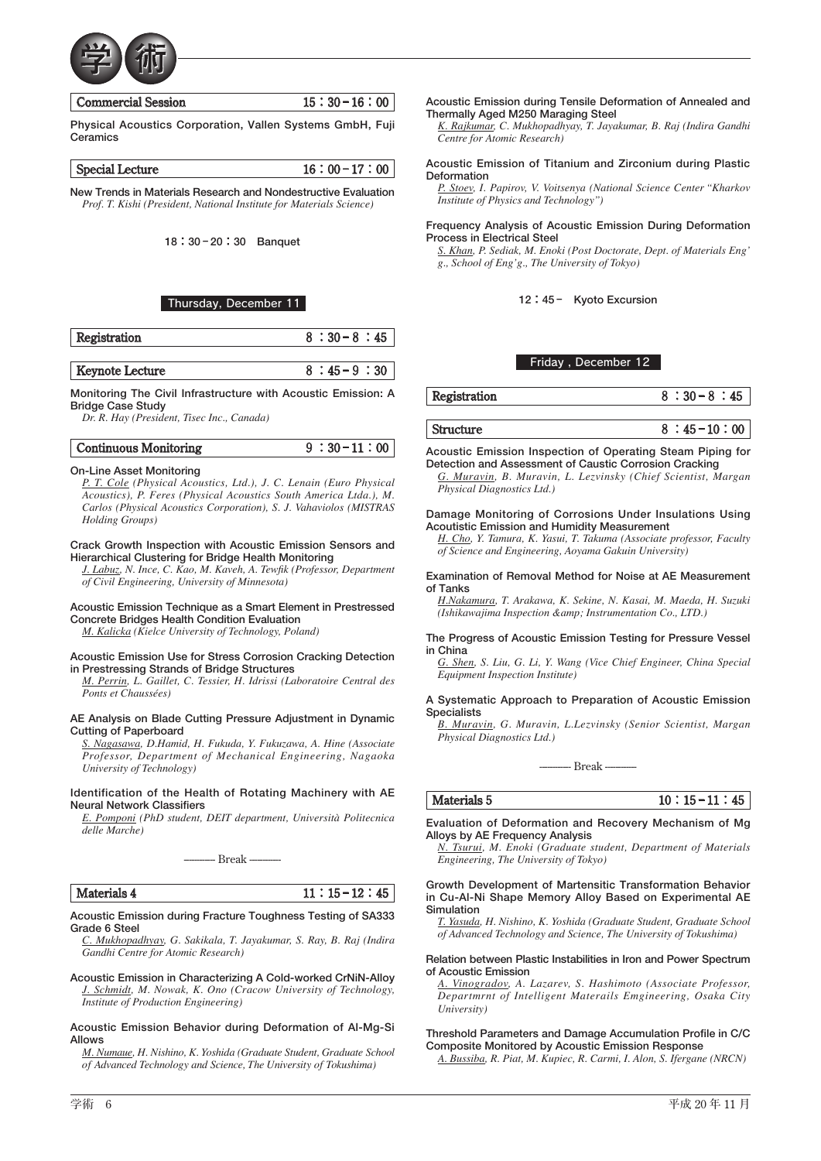

| <b>Commercial Session</b> | $15:30-16:00$ |
|---------------------------|---------------|
|                           |               |

**Physical Acoustics Corporation, Vallen Systems GmbH, Fuji Ceramics**

|--|

**New Trends in Materials Research and Nondestructive Evaluation** *Prof. T. Kishi (President, National Institute for Materials Science)*

**18:30 <sup>−</sup> 20:30 Banquet**

# Thursday, December 11

| Registration | -301 |
|--------------|------|
|              |      |

 **Keynote Lecture 8:45−9:30** 

**Monitoring The Civil Infrastructure with Acoustic Emission: A Bridge Case Study**

*Dr. R. Hay (President, Tisec Inc., Canada)*

# **On-Line Asset Monitoring**

*P. T. Cole (Physical Acoustics, Ltd.), J. C. Lenain (Euro Physical Acoustics), P. Feres (Physical Acoustics South America Ltda.), M. Carlos (Physical Acoustics Corporation), S. J. Vahaviolos (MISTRAS Holding Groups)*

**Crack Growth Inspection with Acoustic Emission Sensors and Hierarchical Clustering for Bridge Health Monitoring**

*J. Labuz, N. Ince, C. Kao, M. Kaveh, A. Tewfik (Professor, Department of Civil Engineering, University of Minnesota)*

**Acoustic Emission Technique as a Smart Element in Prestressed Concrete Bridges Health Condition Evaluation**

*M. Kalicka (Kielce University of Technology, Poland)*

### **Acoustic Emission Use for Stress Corrosion Cracking Detection in Prestressing Strands of Bridge Structures**

*M. Perrin, L. Gaillet, C. Tessier, H. Idrissi (Laboratoire Central des Ponts et Chaussées)*

#### **AE Analysis on Blade Cutting Pressure Adjustment in Dynamic Cutting of Paperboard**

*S. Nagasawa, D.Hamid, H. Fukuda, Y. Fukuzawa, A. Hine (Associate Professor, Department of Mechanical Engineering, Nagaoka University of Technology)*

# **Identification of the Health of Rotating Machinery with AE Neural Network Classifiers**

*E. Pomponi (PhD student, DEIT department, Università Politecnica delle Marche)*

**------------ Break ------------**

| 4<br>تستحدد والمد<br>. .<br>ľ٧ |  |
|--------------------------------|--|
|                                |  |

# **Acoustic Emission during Fracture Toughness Testing of SA333 Grade 6 Steel**

*C. Mukhopadhyay, G. Sakikala, T. Jayakumar, S. Ray, B. Raj (Indira Gandhi Centre for Atomic Research)*

**Acoustic Emission in Characterizing A Cold-worked CrNiN-Alloy** *J. Schmidt, M. Nowak, K. Ono (Cracow University of Technology, Institute of Production Engineering)*

#### **Acoustic Emission Behavior during Deformation of Al-Mg-Si Allows**

*M. Numaue, H. Nishino, K. Yoshida (Graduate Student, Graduate School of Advanced Technology and Science, The University of Tokushima)*

**Acoustic Emission during Tensile Deformation of Annealed and Thermally Aged M250 Maraging Steel**

*K. Rajkumar, C. Mukhopadhyay, T. Jayakumar, B. Raj (Indira Gandhi Centre for Atomic Research)*

# **Acoustic Emission of Titanium and Zirconium during Plastic Deformation**

*P. Stoev, I. Papirov, V. Voitsenya (National Science Center "Kharkov Institute of Physics and Technology")*

# **Frequency Analysis of Acoustic Emission During Deformation Process in Electrical Steel**

*S. Khan, P. Sediak, M. Enoki (Post Doctorate, Dept. of Materials Eng' g., School of Eng'g., The University of Tokyo)*

# **12:45 − Kyoto Excursion**

# Friday , December 12

 **Registration 8:30−8:45** 

 **Structure 8 : 45−10:00** 

**Acoustic Emission Inspection of Operating Steam Piping for Detection and Assessment of Caustic Corrosion Cracking**

*G. Muravin, B. Muravin, L. Lezvinsky (Chief Scientist, Margan Physical Diagnostics Ltd.)*

#### **Damage Monitoring of Corrosions Under Insulations Using Acoutistic Emission and Humidity Measurement**

*H. Cho, Y. Tamura, K. Yasui, T. Takuma (Associate professor, Faculty of Science and Engineering, Aoyama Gakuin University)*

#### **Examination of Removal Method for Noise at AE Measurement of Tanks**

*H.Nakamura, T. Arakawa, K. Sekine, N. Kasai, M. Maeda, H. Suzuki (Ishikawajima Inspection & Instrumentation Co., LTD.)*

#### **The Progress of Acoustic Emission Testing for Pressure Vessel in China**

*G. Shen, S. Liu, G. Li, Y. Wang (Vice Chief Engineer, China Special Equipment Inspection Institute)*

# **A Systematic Approach to Preparation of Acoustic Emission Specialists**

*B. Muravin, G. Muravin, L.Lezvinsky (Senior Scientist, Margan Physical Diagnostics Ltd.)*

**------------ Break ------------**

 **Materials 5 10 : 15−11 : 45** 

## **Evaluation of Deformation and Recovery Mechanism of Mg Alloys by AE Frequency Analysis**

*N. Tsurui, M. Enoki (Graduate student, Department of Materials Engineering, The University of Tokyo)*

#### **Growth Development of Martensitic Transformation Behavior in Cu-Al-Ni Shape Memory Alloy Based on Experimental AE Simulation**

*T. Yasuda, H. Nishino, K. Yoshida (Graduate Student, Graduate School of Advanced Technology and Science, The University of Tokushima)*

#### **Relation between Plastic Instabilities in Iron and Power Spectrum of Acoustic Emission**

*A. Vinogradov, A. Lazarev, S. Hashimoto (Associate Professor, Departmrnt of Intelligent Materails Emgineering, Osaka City University)*

**Threshold Parameters and Damage Accumulation Profile in C/C Composite Monitored by Acoustic Emission Response**

*A. Bussiba, R. Piat, M. Kupiec, R. Carmi, I. Alon, S. Ifergane (NRCN)*